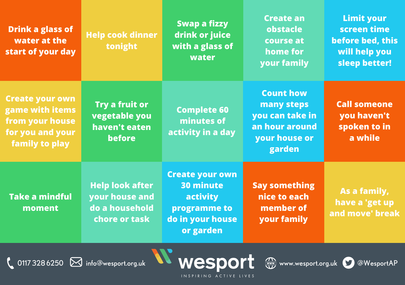| Drink a glass of<br>water at the<br>start of your day                                              | <b>Help cook dinner</b><br>tonight                                          | <b>Swap a fizzy</b><br>drink or juice<br>with a glass of<br>water                                       | <b>Create an</b><br>obstacle<br>course at<br>home for<br>your family                           | <b>Limit your</b><br>screen time<br>before bed, this<br>will help you<br>sleep better! |
|----------------------------------------------------------------------------------------------------|-----------------------------------------------------------------------------|---------------------------------------------------------------------------------------------------------|------------------------------------------------------------------------------------------------|----------------------------------------------------------------------------------------|
| <b>Create your own</b><br>game with items<br>from your house<br>for you and your<br>family to play | Try a fruit or<br>vegetable you<br>haven't eaten<br><b>before</b>           | <b>Complete 60</b><br>minutes of<br>activity in a day                                                   | <b>Count how</b><br>many steps<br>you can take in<br>an hour around<br>your house or<br>garden | <b>Call someone</b><br>you haven't<br>spoken to in<br>a while                          |
| <b>Take a mindful</b><br>moment                                                                    | <b>Help look after</b><br>your house and<br>do a household<br>chore or task | <b>Create your own</b><br><b>30 minute</b><br>activity<br>programme to<br>do in your house<br>or garden | <b>Say something</b><br>nice to each<br>member of<br>your family                               | As a family,<br>have a 'get up<br>and move' break                                      |

 $\zeta$  0117 328 6250  $\boxtimes$  info@wesport.org.uk  $\blacksquare$  Wesport  $\clubsuit$  www.wesport.org.uk  $\odot$  @WesportAP

INSPIRING ACTIVE